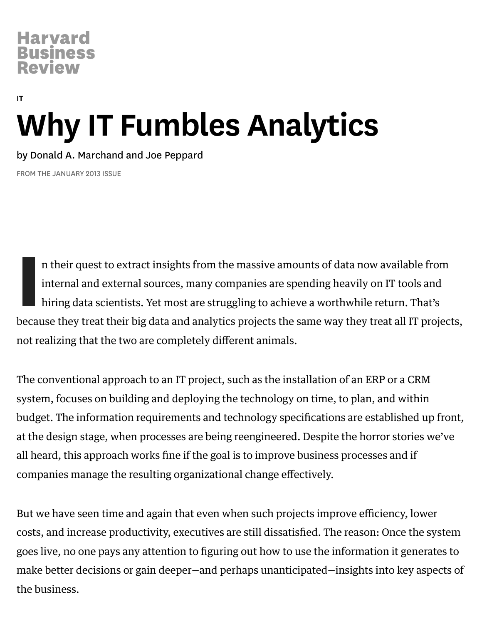# [IT](https://hbr.org/topic/it) Why IT Fumbles Analytics

by Donald A. [Marchand](https://hbr.org/search?term=donald+a.+marchand) and Joe [Peppard](https://hbr.org/search?term=joe+peppard)

FROM THE JANUARY 2013 ISSUE

In their quest to extract insights from the massive amounts of data now available from<br>internal and external sources, many companies are spending heavily on IT tools and<br>hiring data scientists. Yet most are struggling to a n their quest to extract insights from the massive amounts of data now available from internal and external sources, many companies are spending heavily on IT tools and hiring data scientists. Yet most are struggling to achieve a worthwhile return. That's not realizing that the two are completely different animals.

The conventional approach to an IT project, such as the installation of an ERP or a CRM system, focuses on building and deploying the technology on time, to plan, and within budget. The information requirements and technology specifications are established up front, at the design stage, when processes are being reengineered. Despite the horror stories we've all heard, this approach works fine if the goal is to improve business processes and if companies manage the resulting organizational change effectively.

But we have seen time and again that even when such projects improve efficiency, lower costs, and increase productivity, executives are still dissatisfied. The reason: Once the system goes live, no one pays any attention to figuring out how to use the information it generates to make better decisions or gain deeper—and perhaps unanticipated—insights into key aspects of the business.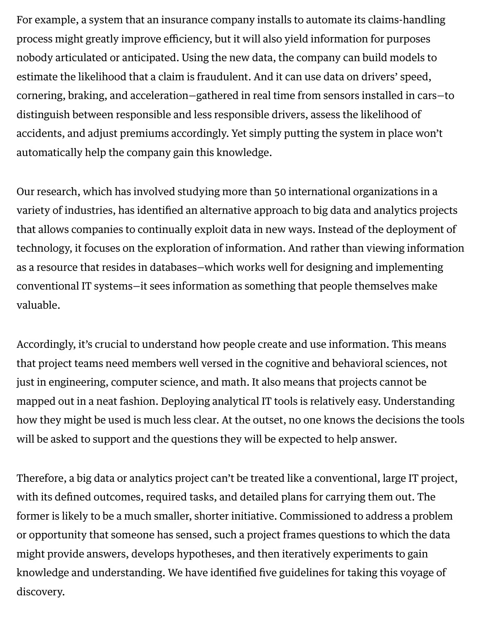For example, a system that an insurance company installs to automate its claims-handling process might greatly improve efficiency, but it will also yield information for purposes nobody articulated or anticipated. Using the new data, the company can build models to estimate the likelihood that a claim is fraudulent. And it can use data on drivers' speed, cornering, braking, and acceleration—gathered in real time from sensors installed in cars—to distinguish between responsible and less responsible drivers, assess the likelihood of accidents, and adjust premiums accordingly. Yet simply putting the system in place won't automatically help the company gain this knowledge.

Our research, which has involved studying more than 50 international organizations in a variety of industries, has identified an alternative approach to big data and analytics projects that allows companies to continually exploit data in new ways. Instead of the deployment of technology, it focuses on the exploration of information. And rather than viewing information as a resource that resides in databases—which works well for designing and implementing conventional IT systems—it sees information as something that people themselves make valuable.

Accordingly, it's crucial to understand how people create and use information. This means that project teams need members well versed in the cognitive and behavioral sciences, not just in engineering, computer science, and math. It also means that projects cannot be mapped out in a neat fashion. Deploying analytical IT tools is relatively easy. Understanding how they might be used is much less clear. At the outset, no one knows the decisions the tools will be asked to support and the questions they will be expected to help answer.

Therefore, a big data or analytics project can't be treated like a conventional, large IT project, with its defined outcomes, required tasks, and detailed plans for carrying them out. The former is likely to be a much smaller, shorter initiative. Commissioned to address a problem or opportunity that someone has sensed, such a project frames questions to which the data might provide answers, develops hypotheses, and then iteratively experiments to gain knowledge and understanding. We have identified five guidelines for taking this voyage of discovery.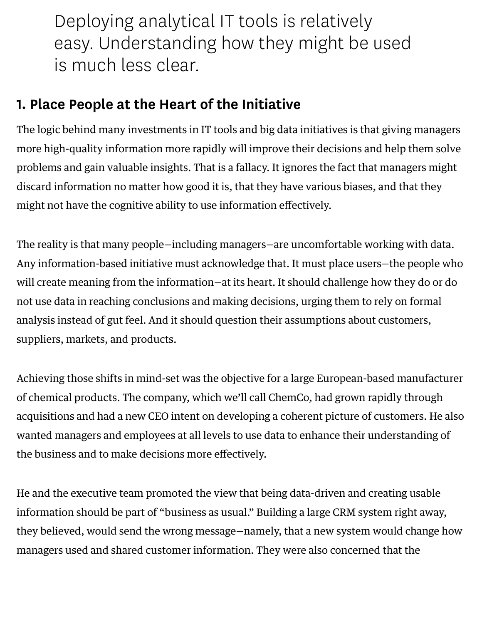Deploying analytical IT tools is relatively easy. Understanding how they might be used is much less clear.

## 1. Place People at the Heart of the Initiative

The logic behind many investments in IT tools and big data initiatives is that giving managers more high-quality information more rapidly will improve their decisions and help them solve problems and gain valuable insights. That is a fallacy. It ignores the fact that managers might discard information no matter how good it is, that they have various biases, and that they might not have the cognitive ability to use information effectively.

The reality is that many people—including managers—are uncomfortable working with data. Any information-based initiative must acknowledge that. It must place users—the people who will create meaning from the information—at its heart. It should challenge how they do or do not use data in reaching conclusions and making decisions, urging them to rely on formal analysis instead of gut feel. And it should question their assumptions about customers, suppliers, markets, and products.

Achieving those shifts in mind-set was the objective for a large European-based manufacturer of chemical products. The company, which we'll call ChemCo, had grown rapidly through acquisitions and had a new CEO intent on developing a coherent picture of customers. He also wanted managers and employees at all levels to use data to enhance their understanding of the business and to make decisions more effectively.

He and the executive team promoted the view that being data-driven and creating usable information should be part of "business as usual." Building a large CRM system right away, they believed, would send the wrong message—namely, that a new system would change how managers used and shared customer information. They were also concerned that the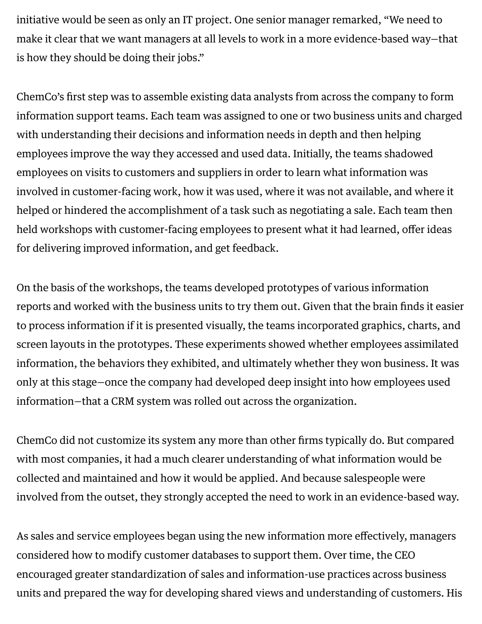initiative would be seen as only an IT project. One senior manager remarked, "We need to make it clear that we want managers at all levels to work in a more evidence-based way—that is how they should be doing their jobs."

ChemCo's first step was to assemble existing data analysts from across the company to form information support teams. Each team was assigned to one or two business units and charged with understanding their decisions and information needs in depth and then helping employees improve the way they accessed and used data. Initially, the teams shadowed employees on visits to customers and suppliers in order to learn what information was involved in customer-facing work, how it was used, where it was not available, and where it helped or hindered the accomplishment of a task such as negotiating a sale. Each team then held workshops with customer-facing employees to present what it had learned, offer ideas for delivering improved information, and get feedback.

On the basis of the workshops, the teams developed prototypes of various information reports and worked with the business units to try them out. Given that the brain finds it easier to process information if it is presented visually, the teams incorporated graphics, charts, and screen layouts in the prototypes. These experiments showed whether employees assimilated information, the behaviors they exhibited, and ultimately whether they won business. It was only at this stage—once the company had developed deep insight into how employees used information—that a CRM system was rolled out across the organization.

ChemCo did not customize its system any more than other firms typically do. But compared with most companies, it had a much clearer understanding of what information would be collected and maintained and how it would be applied. And because salespeople were involved from the outset, they strongly accepted the need to work in an evidence-based way.

As sales and service employees began using the new information more effectively, managers considered how to modify customer databases to support them. Over time, the CEO encouraged greater standardization of sales and information-use practices across business units and prepared the way for developing shared views and understanding of customers. His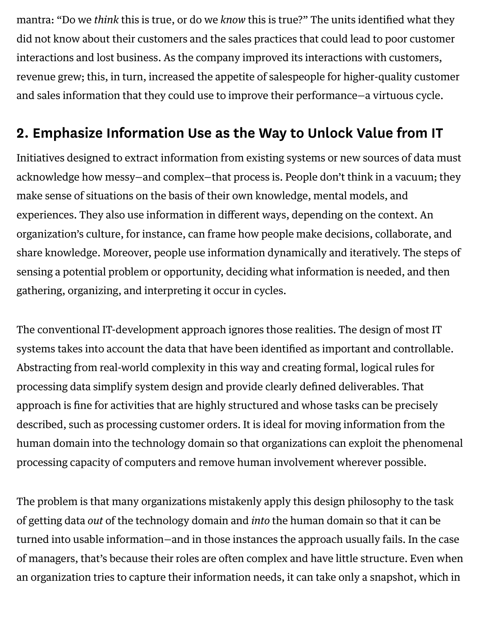mantra: "Do we think this is true, or do we know this is true?" The units identified what they did not know about their customers and the sales practices that could lead to poor customer interactions and lost business. As the company improved its interactions with customers, revenue grew; this, in turn, increased the appetite of salespeople for higher-quality customer and sales information that they could use to improve their performance—a virtuous cycle.

## 2. Emphasize Information Use as the Way to Unlock Value from IT

Initiatives designed to extract information from existing systems or new sources of data must acknowledge how messy—and complex—that process is. People don't think in a vacuum; they make sense of situations on the basis of their own knowledge, mental models, and experiences. They also use information in different ways, depending on the context. An organization's culture, for instance, can frame how people make decisions, collaborate, and share knowledge. Moreover, people use information dynamically and iteratively. The steps of sensing a potential problem or opportunity, deciding what information is needed, and then gathering, organizing, and interpreting it occur in cycles.

The conventional IT-development approach ignores those realities. The design of most IT systems takes into account the data that have been identified as important and controllable. Abstracting from real-world complexity in this way and creating formal, logical rules for processing data simplify system design and provide clearly defined deliverables. That approach is fine for activities that are highly structured and whose tasks can be precisely described, such as processing customer orders. It is ideal for moving information from the human domain into the technology domain so that organizations can exploit the phenomenal processing capacity of computers and remove human involvement wherever possible.

The problem is that many organizations mistakenly apply this design philosophy to the task of getting data out of the technology domain and into the human domain so that it can be turned into usable information—and in those instances the approach usually fails. In the case of managers, that's because their roles are often complex and have little structure. Even when an organization tries to capture their information needs, it can take only a snapshot, which in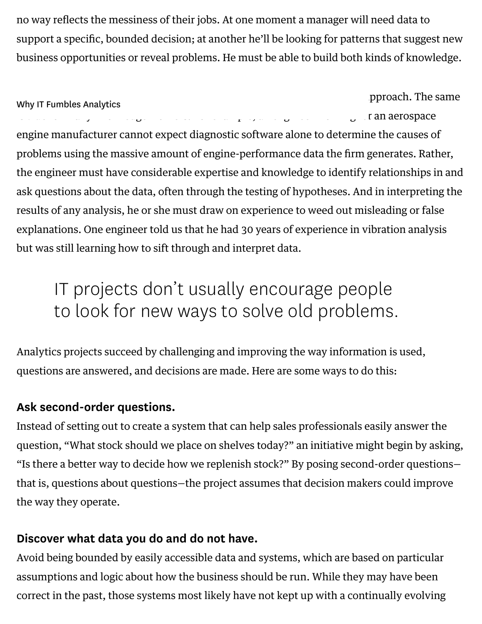no way reflects the messiness of their jobs. At one moment a manager will need data to support a specific, bounded decision; at another he'll be looking for patterns that suggest new business opportunities or reveal problems. He must be able to build both kinds of knowledge.

pproach. The same is true for many knowledge workers. For example, an engineer working for an aerospace engine manufacturer cannot expect diagnostic software alone to determine the causes of problems using the massive amount of engine-performance data the firm generates. Rather, the engineer must have considerable expertise and knowledge to identify relationships in and ask questions about the data, often through the testing of hypotheses. And in interpreting the results of any analysis, he or she must draw on experience to weed out misleading or false explanations. One engineer told us that he had 30 years of experience in vibration analysis but was still learning how to sift through and interpret data. Why IT Fumbles Analytics

# IT projects don 't usually encourage people to look for new ways to solve old problems.

Analytics projects succeed by challenging and improving the way information is used, questions are answered, and decisions are made. Here are some ways to do this:

### Ask second-order questions.

Instead of setting out to create a system that can help sales professionals easily answer the question, "What stock should we place on shelves today?" an initiative might begin by asking, "Is there a better way to decide how we replenish stock?" By posing second-order questions that is, questions about questions—the project assumes that decision makers could improve the way they operate.

### Discover what data you do and do not have.

Avoid being bounded by easily accessible data and systems, which are based on particular assumptions and logic about how the business should be run. While they may have been correct in the past, those systems most likely have not kept up with a continually evolving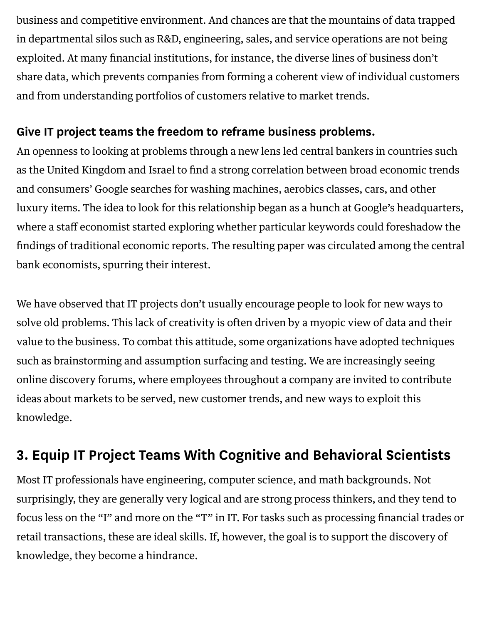business and competitive environment. And chances are that the mountains of data trapped in departmental silos such as R&D, engineering, sales, and service operations are not being exploited. At many financial institutions, for instance, the diverse lines of business don't share data, which prevents companies from forming a coherent view of individual customers and from understanding portfolios of customers relative to market trends.

#### Give IT project teams the freedom to reframe business problems.

An openness to looking at problems through a new lens led central bankers in countries such as the United Kingdom and Israel to find a strong correlation between broad economic trends and consumers' Google searches for washing machines, aerobics classes, cars, and other luxury items. The idea to look for this relationship began as a hunch at Google's headquarters, where a staff economist started exploring whether particular keywords could foreshadow the findings of traditional economic reports. The resulting paper was circulated among the central bank economists, spurring their interest.

We have observed that IT projects don't usually encourage people to look for new ways to solve old problems. This lack of creativity is often driven by a myopic view of data and their value to the business. To combat this attitude, some organizations have adopted techniques such as brainstorming and assumption surfacing and testing. We are increasingly seeing online discovery forums, where employees throughout a company are invited to contribute ideas about markets to be served, new customer trends, and new ways to exploit this knowledge.

## 3. Equip IT Project Teams With Cognitive and Behavioral Scientists

Most IT professionals have engineering, computer science, and math backgrounds. Not surprisingly, they are generally very logical and are strong process thinkers, and they tend to focus less on the "I" and more on the "T" in IT. For tasks such as processing financial trades or retail transactions, these are ideal skills. If, however, the goal is to support the discovery of knowledge, they become a hindrance.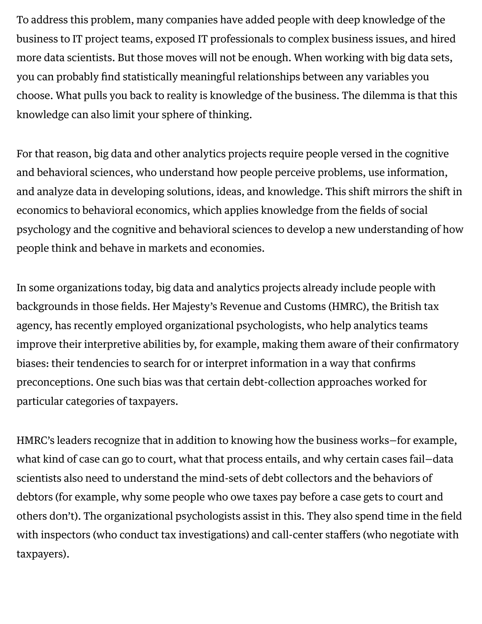To address this problem, many companies have added people with deep knowledge of the business to IT project teams, exposed IT professionals to complex business issues, and hired more data scientists. But those moves will not be enough. When working with big data sets, you can probably find statistically meaningful relationships between any variables you choose. What pulls you back to reality is knowledge of the business. The dilemma is that this knowledge can also limit your sphere of thinking.

For that reason, big data and other analytics projects require people versed in the cognitive and behavioral sciences, who understand how people perceive problems, use information, and analyze data in developing solutions, ideas, and knowledge. This shift mirrors the shift in economics to behavioral economics, which applies knowledge from the fields of social psychology and the cognitive and behavioral sciences to develop a new understanding of how people think and behave in markets and economies.

In some organizations today, big data and analytics projects already include people with backgrounds in those fields. Her Majesty's Revenue and Customs (HMRC), the British tax agency, has recently employed organizational psychologists, who help analytics teams improve their interpretive abilities by, for example, making them aware of their confirmatory biases: their tendencies to search for or interpret information in a way that confirms preconceptions. One such bias was that certain debt-collection approaches worked for particular categories of taxpayers.

HMRC's leaders recognize that in addition to knowing how the business works—for example, what kind of case can go to court, what that process entails, and why certain cases fail—data scientists also need to understand the mind-sets of debt collectors and the behaviors of debtors (for example, why some people who owe taxes pay before a case gets to court and others don't). The organizational psychologists assist in this. They also spend time in the field with inspectors (who conduct tax investigations) and call-center staffers (who negotiate with taxpayers).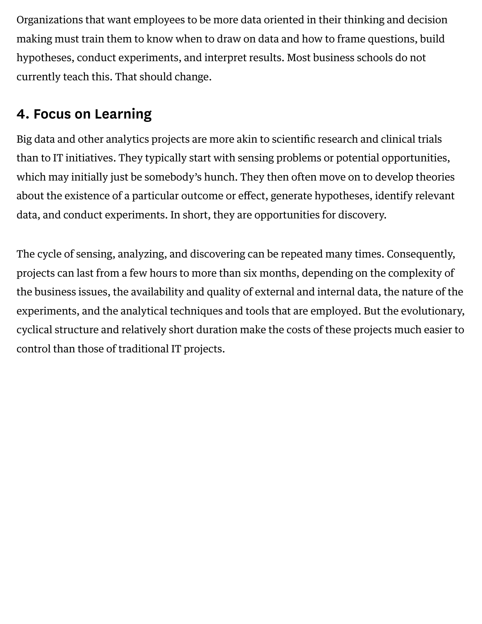Organizations that want employees to be more data oriented in their thinking and decision making must train them to know when to draw on data and how to frame questions, build hypotheses, conduct experiments, and interpret results. Most business schools do not currently teach this. That should change.

## 4. Focus on Learning

Big data and other analytics projects are more akin to scientific research and clinical trials than to IT initiatives. They typically start with sensing problems or potential opportunities, which may initially just be somebody's hunch. They then often move on to develop theories about the existence of a particular outcome or effect, generate hypotheses, identify relevant data, and conduct experiments. In short, they are opportunities for discovery.

The cycle of sensing, analyzing, and discovering can be repeated many times. Consequently, projects can last from a few hours to more than six months, depending on the complexity of the business issues, the availability and quality of external and internal data, the nature of the experiments, and the analytical techniques and tools that are employed. But the evolutionary, cyclical structure and relatively short duration make the costs of these projects much easier to control than those of traditional IT projects.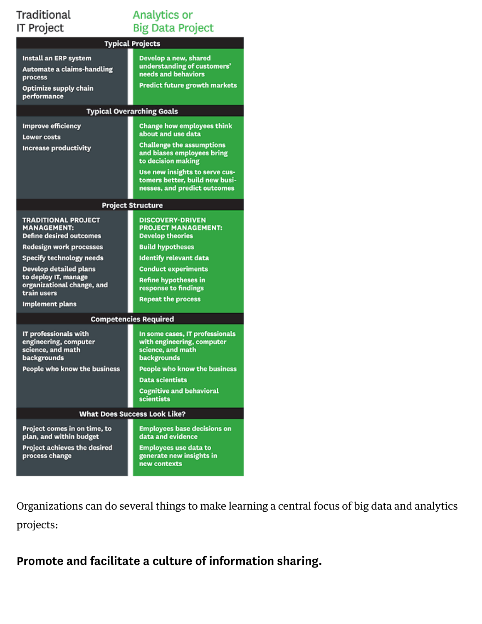#### Traditional IT Project

### Analytics or **Big Data Project**

| Typical Projects                                                                                       |                                                                                                                                                                                                                                                     |
|--------------------------------------------------------------------------------------------------------|-----------------------------------------------------------------------------------------------------------------------------------------------------------------------------------------------------------------------------------------------------|
| Install an ERP system<br>Automate a claims-handling<br>process<br>Optimize supply chain<br>performance | Develop a new, shared<br>understanding of customers'<br>needs and behaviors<br><b>Predict future growth markets</b>                                                                                                                                 |
| <b>Typical Overarching Goals</b>                                                                       |                                                                                                                                                                                                                                                     |
| <b>Improve efficiency</b><br><b>Lower costs</b><br><b>Increase productivity</b>                        | <b>Change how employees think</b><br>about and use data<br><b>Challenge the assumptions</b><br>and biases employees bring<br>to decision making<br>Use new insights to serve cus-<br>tomers better, build new busi-<br>nesses, and predict outcomes |
| <b>Project Structure</b>                                                                               |                                                                                                                                                                                                                                                     |
| <b>TRADITIONAL PROJECT</b><br><b>MANAGEMENT:</b><br><b>Define desired outcomes</b>                     | <b>DISCOVERY-DRIVEN</b><br><b>PROJECT MANAGEMENT:</b><br><b>Develop theories</b>                                                                                                                                                                    |
| <b>Redesign work processes</b>                                                                         | <b>Build hypotheses</b>                                                                                                                                                                                                                             |
| <b>Specify technology needs</b>                                                                        | <b>Identify relevant data</b>                                                                                                                                                                                                                       |
| <b>Develop detailed plans</b><br>to deploy IT, manage<br>organizational change, and<br>train users     | <b>Conduct experiments</b><br><b>Refine hypotheses in</b><br>response to findings<br><b>Repeat the process</b>                                                                                                                                      |
| <b>Implement plans</b>                                                                                 |                                                                                                                                                                                                                                                     |
| <b>Competencies Required</b>                                                                           |                                                                                                                                                                                                                                                     |
| IT professionals with<br>engineering, computer<br>science, and math<br>backgrounds                     | In some cases, IT professionals<br>with engineering, computer<br>science, and math<br>backgrounds                                                                                                                                                   |
| People who know the business                                                                           | <b>People who know the business</b>                                                                                                                                                                                                                 |
|                                                                                                        | <b>Data scientists</b>                                                                                                                                                                                                                              |
|                                                                                                        | <b>Cognitive and behavioral</b><br>scientists                                                                                                                                                                                                       |
| <b>What Does Success Look Like?</b>                                                                    |                                                                                                                                                                                                                                                     |
| Project comes in on time, to<br>plan, and within budget                                                | <b>Employees base decisions on</b><br>data and evidence                                                                                                                                                                                             |
| Project achieves the desired<br>process change                                                         | <b>Employees use data to</b><br>generate new insights in<br>new contexts                                                                                                                                                                            |

Organizations can do several things to make learning a central focus of big data and analytics projects:

Promote and facilitate a culture of information sharing.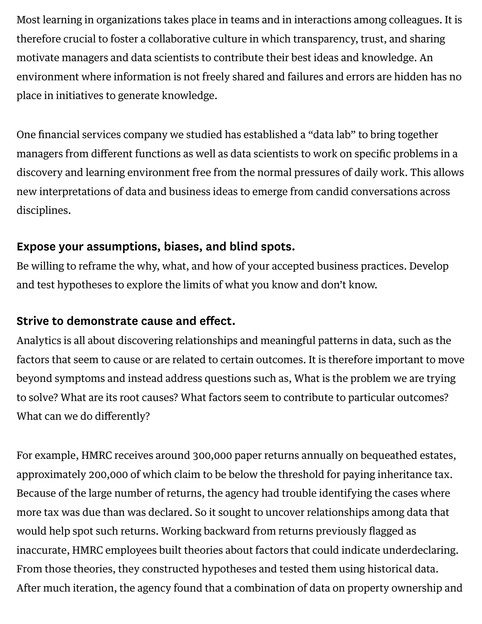Most learning in organizations takes place in teams and in interactions among colleagues. It is therefore crucial to foster a collaborative culture in which transparency, trust, and sharing motivate managers and data scientists to contribute their best ideas and knowledge. An environment where information is not freely shared and failures and errors are hidden has no place in initiatives to generate knowledge.

One financial services company we studied has established a "data lab" to bring together managers from different functions as well as data scientists to work on specific problems in a discovery and learning environment free from the normal pressures of daily work. This allows new interpretations of data and business ideas to emerge from candid conversations across disciplines.

#### Expose your assumptions, biases, and blind spots.

Be willing to reframe the why, what, and how of your accepted business practices. Develop and test hypotheses to explore the limits of what you know and don't know.

#### Strive to demonstrate cause and effect.

Analytics is all about discovering relationships and meaningful patterns in data, such as the factors that seem to cause or are related to certain outcomes. It is therefore important to move beyond symptoms and instead address questions such as, What is the problem we are trying to solve? What are its root causes? What factors seem to contribute to particular outcomes? What can we do differently?

For example, HMRC receives around 300,000 paper returns annually on bequeathed estates, approximately 200,000 of which claim to be below the threshold for paying inheritance tax. Because of the large number of returns, the agency had trouble identifying the cases where more tax was due than was declared. So it sought to uncover relationships among data that would help spot such returns. Working backward from returns previously flagged as inaccurate, HMRC employees built theories about factors that could indicate underdeclaring. From those theories, they constructed hypotheses and tested them using historical data. After much iteration, the agency found that a combination of data on property ownership and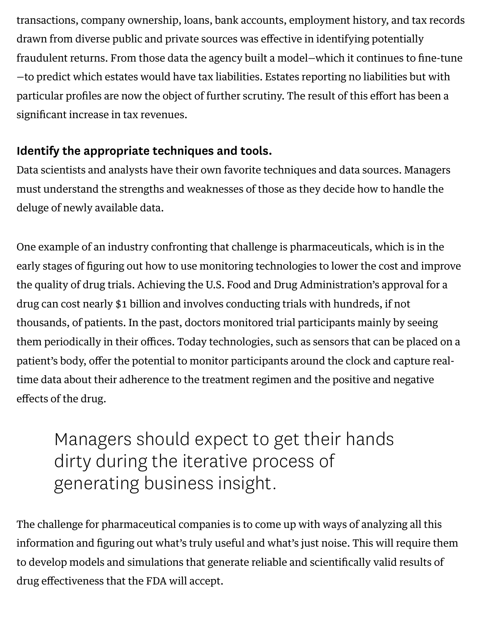transactions, company ownership, loans, bank accounts, employment history, and tax records drawn from diverse public and private sources was effective in identifying potentially fraudulent returns. From those data the agency built a model—which it continues to fine-tune —to predict which estates would have tax liabilities. Estates reporting no liabilities but with particular profiles are now the object of further scrutiny. The result of this effort has been a significant increase in tax revenues.

### Identify the appropriate techniques and tools.

Data scientists and analysts have their own favorite techniques and data sources. Managers must understand the strengths and weaknesses of those as they decide how to handle the deluge of newly available data.

One example of an industry confronting that challenge is pharmaceuticals, which is in the early stages of figuring out how to use monitoring technologies to lower the cost and improve the quality of drug trials. Achieving the U.S. Food and Drug Administration's approval for a drug can cost nearly \$1 billion and involves conducting trials with hundreds, if not thousands, of patients. In the past, doctors monitored trial participants mainly by seeing them periodically in their offices. Today technologies, such as sensors that can be placed on a patient's body, offer the potential to monitor participants around the clock and capture realtime data about their adherence to the treatment regimen and the positive and negative effects of the drug.

# Managers should expect to get their hands dirty during the iterative process of generating business insight.

The challenge for pharmaceutical companies is to come up with ways of analyzing all this information and figuring out what's truly useful and what's just noise. This will require them to develop models and simulations that generate reliable and scientifically valid results of drug effectiveness that the FDA will accept.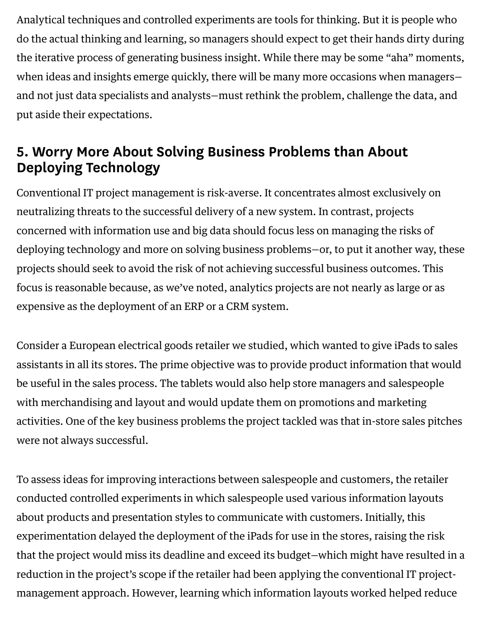Analytical techniques and controlled experiments are tools for thinking. But it is people who do the actual thinking and learning, so managers should expect to get their hands dirty during the iterative process of generating business insight. While there may be some "aha" moments, when ideas and insights emerge quickly, there will be many more occasions when managers and not just data specialists and analysts—must rethink the problem, challenge the data, and put aside their expectations.

## 5. Worry More About Solving Business Problems than About Deploying Technology

Conventional IT project management is risk-averse. It concentrates almost exclusively on neutralizing threats to the successful delivery of a new system. In contrast, projects concerned with information use and big data should focus less on managing the risks of deploying technology and more on solving business problems—or, to put it another way, these projects should seek to avoid the risk of not achieving successful business outcomes. This focus is reasonable because, as we've noted, analytics projects are not nearly as large or as expensive as the deployment of an ERP or a CRM system.

Consider a European electrical goods retailer we studied, which wanted to give iPads to sales assistants in all its stores. The prime objective was to provide product information that would be useful in the sales process. The tablets would also help store managers and salespeople with merchandising and layout and would update them on promotions and marketing activities. One of the key business problems the project tackled was that in-store sales pitches were not always successful.

To assess ideas for improving interactions between salespeople and customers, the retailer conducted controlled experiments in which salespeople used various information layouts about products and presentation styles to communicate with customers. Initially, this experimentation delayed the deployment of the iPads for use in the stores, raising the risk that the project would miss its deadline and exceed its budget—which might have resulted in a reduction in the project's scope if the retailer had been applying the conventional IT projectmanagement approach. However, learning which information layouts worked helped reduce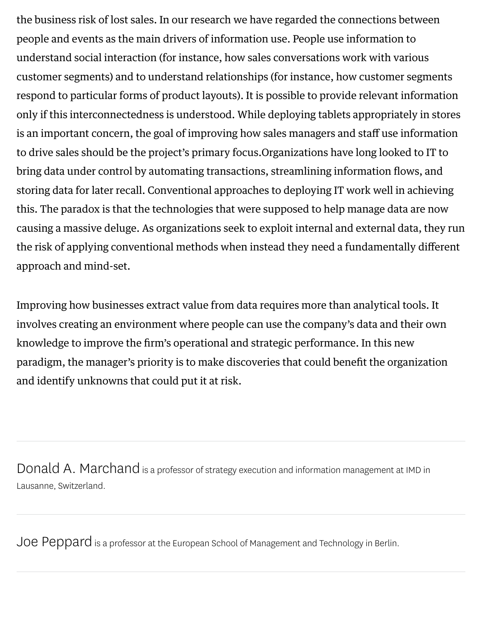the business risk of lost sales. In our research we have regarded the connections between people and events as the main drivers of information use. People use information to understand social interaction (for instance, how sales conversations work with various customer segments) and to understand relationships (for instance, how customer segments respond to particular forms of product layouts). It is possible to provide relevant information only if this interconnectedness is understood. While deploying tablets appropriately in stores is an important concern, the goal of improving how sales managers and staff use information to drive sales should be the project's primary focus.Organizations have long looked to IT to bring data under control by automating transactions, streamlining information flows, and storing data for later recall. Conventional approaches to deploying IT work well in achieving this. The paradox is that the technologies that were supposed to help manage data are now causing a massive deluge. As organizations seek to exploit internal and external data, they run the risk of applying conventional methods when instead they need a fundamentally different approach and mind-set.

Improving how businesses extract value from data requires more than analytical tools. It involves creating an environment where people can use the company's data and their own knowledge to improve the firm's operational and strategic performance. In this new paradigm, the manager's priority is to make discoveries that could benefit the organization and identify unknowns that could put it at risk.

Donald A. [Marchand](https://hbr.org/search?term=donald+a.+marchand) is <sup>a</sup> professor of strategy execution and information management at IMD in Lausanne, Switzerland.

Joe [Peppard](https://hbr.org/search?term=joe+peppard) is <sup>a</sup> professor at the European School of Management and Technology in Berlin.